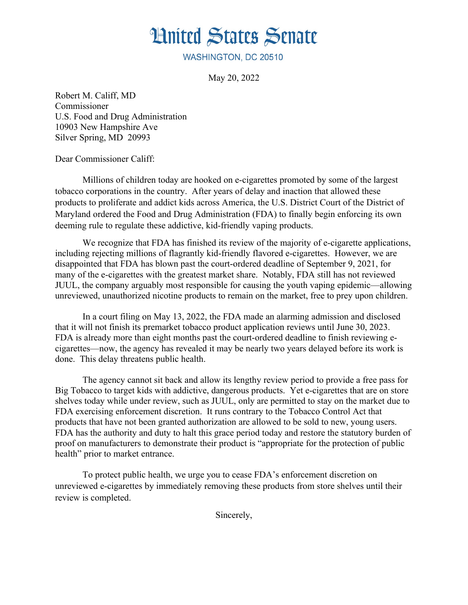## **Hnited States Senate**

WASHINGTON, DC 20510

May 20, 2022

Robert M. Califf, MD Commissioner U.S. Food and Drug Administration 10903 New Hampshire Ave Silver Spring, MD 20993

Dear Commissioner Califf:

Millions of children today are hooked on e-cigarettes promoted by some of the largest tobacco corporations in the country. After years of delay and inaction that allowed these products to proliferate and addict kids across America, the U.S. District Court of the District of Maryland ordered the Food and Drug Administration (FDA) to finally begin enforcing its own deeming rule to regulate these addictive, kid-friendly vaping products.

We recognize that FDA has finished its review of the majority of e-cigarette applications, including rejecting millions of flagrantly kid-friendly flavored e-cigarettes. However, we are disappointed that FDA has blown past the court-ordered deadline of September 9, 2021, for many of the e-cigarettes with the greatest market share. Notably, FDA still has not reviewed JUUL, the company arguably most responsible for causing the youth vaping epidemic—allowing unreviewed, unauthorized nicotine products to remain on the market, free to prey upon children.

In a court filing on May 13, 2022, the FDA made an alarming admission and disclosed that it will not finish its premarket tobacco product application reviews until June 30, 2023. FDA is already more than eight months past the court-ordered deadline to finish reviewing ecigarettes—now, the agency has revealed it may be nearly two years delayed before its work is done. This delay threatens public health.

The agency cannot sit back and allow its lengthy review period to provide a free pass for Big Tobacco to target kids with addictive, dangerous products. Yet e-cigarettes that are on store shelves today while under review, such as JUUL, only are permitted to stay on the market due to FDA exercising enforcement discretion. It runs contrary to the Tobacco Control Act that products that have not been granted authorization are allowed to be sold to new, young users. FDA has the authority and duty to halt this grace period today and restore the statutory burden of proof on manufacturers to demonstrate their product is "appropriate for the protection of public health" prior to market entrance.

To protect public health, we urge you to cease FDA's enforcement discretion on unreviewed e-cigarettes by immediately removing these products from store shelves until their review is completed.

Sincerely,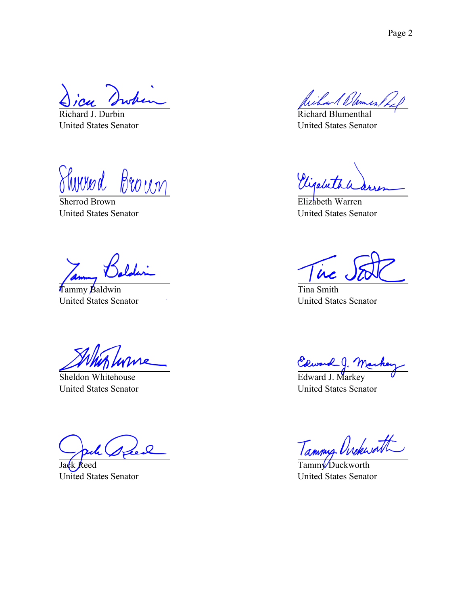Richard J. Durbin United States Senator

<u>Sherrod Brown</u> 'hww.d

United States Senator

Tammy Baldwin United States Senator

Sheldon Whitehouse United States Senator

Jack Reed United States Senator

Richard Blumenthal United States Senator

Vigabeth

Elizabeth Warren United States Senator

in

Tina Smith United States Senator

Edward J. Mar<br>Edward J. Markey

United States Senator

Tammy Ovekwatt

Tamm<sup>y</sup> Duckworth United States Senator